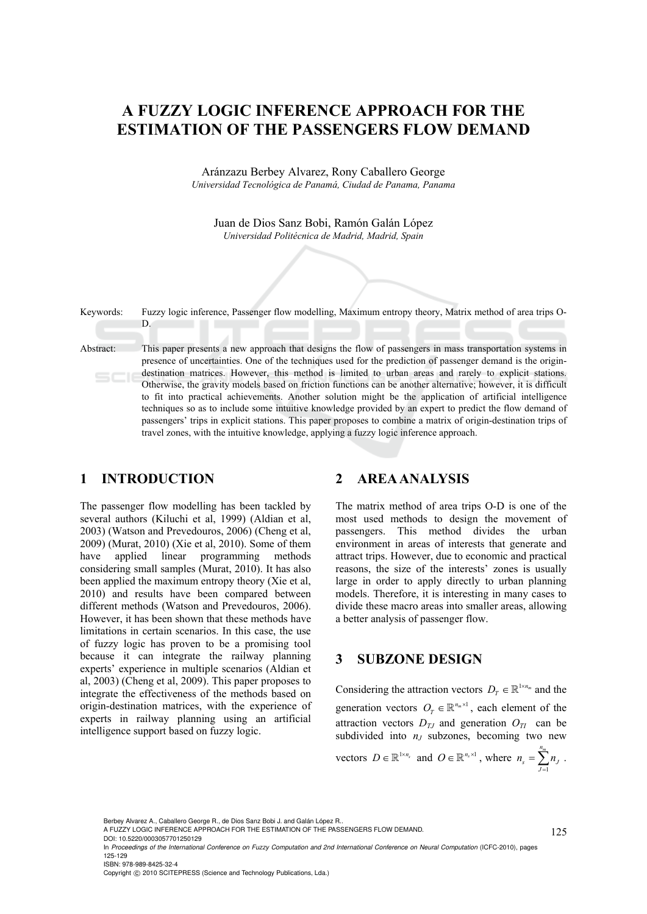# **A FUZZY LOGIC INFERENCE APPROACH FOR THE ESTIMATION OF THE PASSENGERS FLOW DEMAND**

Aránzazu Berbey Alvarez, Rony Caballero George *Universidad Tecnológica de Panamá, Ciudad de Panama, Panama* 

Juan de Dios Sanz Bobi, Ramón Galán López *Universidad Politécnica de Madrid, Madrid, Spain* 



#### **1 INTRODUCTION**

The passenger flow modelling has been tackled by several authors (Kiluchi et al, 1999) (Aldian et al, 2003) (Watson and Prevedouros, 2006) (Cheng et al, 2009) (Murat, 2010) (Xie et al, 2010). Some of them have applied linear programming methods considering small samples (Murat, 2010). It has also been applied the maximum entropy theory (Xie et al, 2010) and results have been compared between different methods (Watson and Prevedouros, 2006). However, it has been shown that these methods have limitations in certain scenarios. In this case, the use of fuzzy logic has proven to be a promising tool because it can integrate the railway planning experts' experience in multiple scenarios (Aldian et al, 2003) (Cheng et al, 2009). This paper proposes to integrate the effectiveness of the methods based on origin-destination matrices, with the experience of experts in railway planning using an artificial intelligence support based on fuzzy logic.

### **2 AREA ANALYSIS**

The matrix method of area trips O-D is one of the most used methods to design the movement of passengers. This method divides the urban environment in areas of interests that generate and attract trips. However, due to economic and practical reasons, the size of the interests' zones is usually large in order to apply directly to urban planning models. Therefore, it is interesting in many cases to divide these macro areas into smaller areas, allowing a better analysis of passenger flow.

### **3 SUBZONE DESIGN**

Considering the attraction vectors  $D_T \in \mathbb{R}^{1 \times n_m}$  and the generation vectors  $O_T \in \mathbb{R}^{n_m \times 1}$ , each element of the attraction vectors  $D_{TI}$  and generation  $O_{TI}$  can be subdivided into  $n<sub>J</sub>$  subzones, becoming two new

vectors 
$$
D \in \mathbb{R}^{1 \times n_s}
$$
 and  $O \in \mathbb{R}^{n_s \times 1}$ , where  $n_s = \sum_{J=1}^{n_m} n_J$ .

Berbey Alvarez A., Caballero George R., de Dios Sanz Bobi J. and Galán López R..

125

A FUZZY LOGIC INFERENCE APPROACH FOR THE ESTIMATION OF THE PASSENGERS FLOW DEMAND.

DOI: 10.5220/0003057701250129

In *Proceedings of the International Conference on Fuzzy Computation and 2nd International Conference on Neural Computation* (ICFC-2010), pages 125-129 ISBN: 978-989-8425-32-4

Copyright © 2010 SCITEPRESS (Science and Technology Publications, Lda.)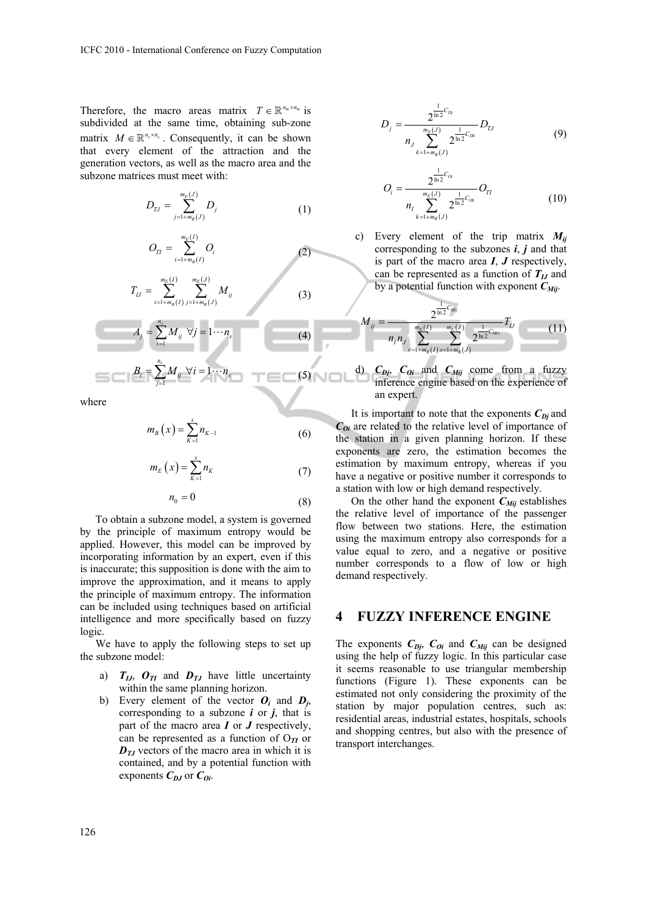Therefore, the macro areas matrix  $T \in \mathbb{R}^{n_m \times n_m}$  is subdivided at the same time, obtaining sub-zone matrix  $M \in \mathbb{R}^{n_s \times n_s}$ . Consequently, it can be shown that every element of the attraction and the generation vectors, as well as the macro area and the subzone matrices must meet with:

$$
D_{TJ} = \sum_{j=1+m_B(J)}^{m_E(J)} D_j
$$
 (1)

$$
O_{TI} = \sum_{i=1+m_B(I)}^{m_E(I)} O_i
$$
 (2)

$$
T_{LJ} = \sum_{i=1+m_B(I)}^{m_E(I)} \sum_{j=1+m_B(J)}^{m_E(J)} M_{ij}
$$
(3)

$$
A_j = \sum_{i=1}^{n_s} M_{ij} \quad \forall j = 1 \cdots n_s \tag{4}
$$

$$
B_i = \sum_{j=1}^{n_s} M_{ij} \ \forall i = 1 \cdots n_s \tag{5}
$$

where

$$
m_{B}\left(x\right) = \sum_{K=1}^{x} n_{K-1} \tag{6}
$$

$$
m_E(x) = \sum_{K=1}^{x} n_K
$$
 (7)

$$
n_0 = 0 \tag{8}
$$

To obtain a subzone model, a system is governed by the principle of maximum entropy would be applied. However, this model can be improved by incorporating information by an expert, even if this is inaccurate; this supposition is done with the aim to improve the approximation, and it means to apply the principle of maximum entropy. The information can be included using techniques based on artificial intelligence and more specifically based on fuzzy logic.

We have to apply the following steps to set up the subzone model:

- a)  $T_{II}$ ,  $O_{TI}$  and  $D_{TI}$  have little uncertainty within the same planning horizon.
- b) Every element of the vector  $O_i$  and  $D_i$ , corresponding to a subzone  $\boldsymbol{i}$  or  $\boldsymbol{j}$ , that is part of the macro area *I* or *J* respectively, can be represented as a function of  $O_{\mathcal{I}}$  or  $D_{IJ}$  vectors of the macro area in which it is contained, and by a potential function with exponents  $C_{DJ}$  or  $C_{Qi}$ .

$$
D_j = \frac{2^{\frac{1}{\ln 2}C_{D_j}}}{n_J \sum_{k=1+m_B(J)}^{m_E(J)} 2^{\frac{1}{\ln 2}C_{Dk}}} D_{TJ}
$$
(9)

$$
O_i = \frac{2^{\frac{1}{\ln 2}C_{oi}}}{n_i \sum_{k=1+m_B(J)}^{m_E(J)} 2^{\frac{1}{\ln 2}C_{oi}}} O_{TI}
$$
(10)

c) Every element of the trip matrix  $M_{ii}$ corresponding to the subzones *i*, *j* and that is part of the macro area *I*, *J* respectively, can be represented as a function of  $T_{IJ}$  and by a potential function with exponent  $C_{Mi}$ .

$$
M_{ij} = \frac{2^{\frac{1}{\ln 2}C_{Mij}}}{n_{i}n_{j}} \sum_{r=1+m_{B}(l)}^{\frac{m_{E}(l)}{2}} \sum_{s=1+m_{B}(l)}^{\frac{1}{m_{E}(l)}} 2^{\frac{1}{\ln 2}C_{Mrs}} T_{Lj}
$$
(11)

d)  $C_{Dj}$ ,  $C_{Oi}$  and  $C_{Mij}$  come from a fuzzy inference engine based on the experience of an expert.

It is important to note that the exponents  $C_{Di}$  and  $C_{0i}$  are related to the relative level of importance of the station in a given planning horizon. If these exponents are zero, the estimation becomes the estimation by maximum entropy, whereas if you have a negative or positive number it corresponds to a station with low or high demand respectively.

On the other hand the exponent  $C_{Mij}$  establishes the relative level of importance of the passenger flow between two stations. Here, the estimation using the maximum entropy also corresponds for a value equal to zero, and a negative or positive number corresponds to a flow of low or high demand respectively.

## **4 FUZZY INFERENCE ENGINE**

The exponents  $C_{Di}$ ,  $C_{Di}$  and  $C_{Mij}$  can be designed using the help of fuzzy logic. In this particular case it seems reasonable to use triangular membership functions (Figure 1). These exponents can be estimated not only considering the proximity of the station by major population centres, such as: residential areas, industrial estates, hospitals, schools and shopping centres, but also with the presence of transport interchanges.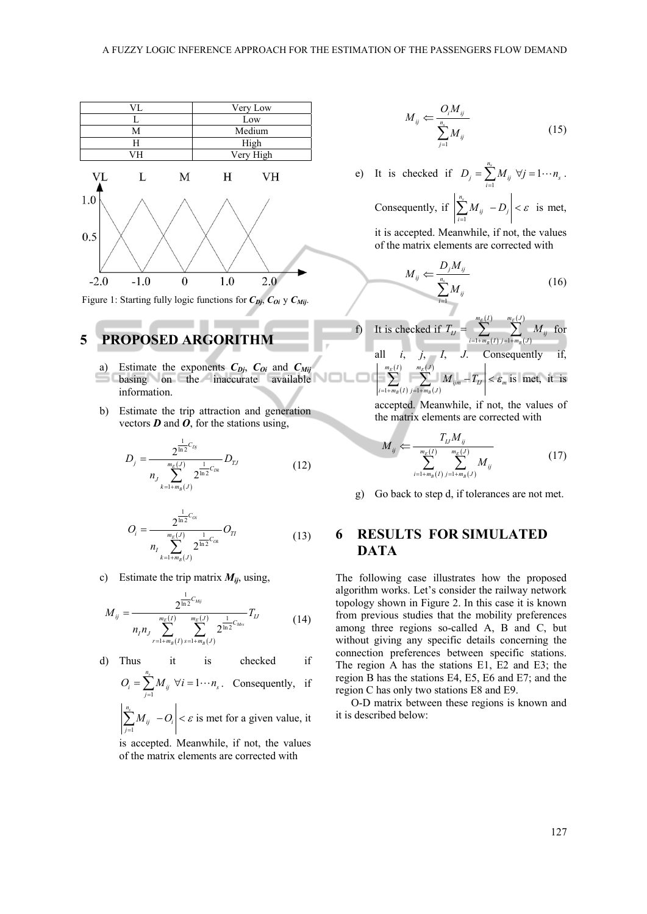

Figure 1: Starting fully logic functions for  $C_{Di}$ ,  $C_{Oi}$  y  $C_{Mij}$ .

## **5 PROPOSED ARGORITHM**

- a) Estimate the exponents  $C_{Di}$ ,  $C_{0i}$  and  $C_{Mij}$  $\Box$  basing on the inaccurate available information.
- b) Estimate the trip attraction and generation vectors *D* and *O*, for the stations using,

$$
D_j = \frac{2^{\frac{1}{\ln 2}C_{Dj}}}{n_j \sum_{k=1+m_B(J)}^{\frac{n_E(J)}{2}} 2^{\frac{1}{\ln 2}C_{Dk}}} D_{TJ}
$$
(12)

$$
O_i = \frac{2^{\frac{1}{\ln 2}C_{oi}}}{n_1 \sum_{k=1+m_B(J)}^{m_E(J)} 2^{\frac{1}{\ln 2}C_{oi}}} O_{TI}
$$
(13)

c) Estimate the trip matrix  $M_{ij}$ , using,

$$
M_{ij} = \frac{2^{\frac{1}{\ln 2}C_{Mij}}}{n_{i}n_{j}} \sum_{r=1+m_{B}(I)}^{m_{E}(I)} \sum_{s=1+m_{B}(J)}^{m_{E}(J)} 2^{\frac{1}{\ln 2}C_{Mrs}} T_{IJ}
$$
(14)

d) Thus it is checked if

$$
O_i = \sum_{j=1}^{n_s} M_{ij} \ \forall i = 1 \cdots n_s. \quad \text{Consequently, if}
$$

$$
\left|\sum_{j=1}^{n_{\rm s}} M_{ij} - O_i\right| < \varepsilon \text{ is met for a given value, it}
$$

is accepted. Meanwhile, if not, the values of the matrix elements are corrected with

$$
M_{ij} \leftarrow \frac{O_i M_{ij}}{\sum_{j=1}^{n_s} M_{ij}} \tag{15}
$$

e) It is checked if  $D_j = \sum_{i=1}^{n_s} M_{ij} \ \forall j = 1 \cdots n_s$  $D_i = \sum M_{ii}$   $\forall j = 1 \cdots n$  $=\sum_{i=1}^{s} M_{ij}$   $\forall j=1\cdots n_{s}$ . Consequently, if  $\sum_{i=1}^{n_s}$  $\sum_{i=1}^{M}$  *i*  $\sum_{j}$  $|M_{ii} - D_{i}| < \varepsilon$  $\sum_{i=1}^{5} M_{ij}$  –  $D_j$  <  $\varepsilon$  is met, it is accepted. Meanwhile, if not, the values

of the matrix elements are corrected with

$$
M_{ij} \leftarrow \frac{D_j M_{ij}}{\sum_{i=1}^{n_s} M_{ij}} \tag{16}
$$

f) It is checked if 
$$
T_{IJ} = \sum_{i=1+m_B(I)}^{m_E(I)} \sum_{j=1+m_B(J)}^{m_E(J)} M_{ij}
$$
 for all *i*, *j*, *I*, *J*. Consequently if, 
$$
\left| \sum_{i=1+m_B(I)}^{m_E(I)} \sum_{j=1+m_B(J)}^{m_E(J)} M_{ijm} - T_{IJ} \right| < \varepsilon_m
$$
 is met, it is

accepted. Meanwhile, if not, the values of the matrix elements are corrected with

$$
M_{ij} \leftarrow \frac{T_{IJ} M_{ij}}{\sum_{i=1+m_B(I)}^{m_E(I)} \sum_{j=1+m_B(J)}^{m_E(J)} M_{ij}}
$$
(17)

g) Go back to step d, if tolerances are not met.

## **6 RESULTS FOR SIMULATED DATA**

The following case illustrates how the proposed algorithm works. Let's consider the railway network topology shown in Figure 2. In this case it is known from previous studies that the mobility preferences among three regions so-called A, B and C, but without giving any specific details concerning the connection preferences between specific stations. The region A has the stations E1, E2 and E3; the region B has the stations E4, E5, E6 and E7; and the region C has only two stations E8 and E9.

O-D matrix between these regions is known and it is described below: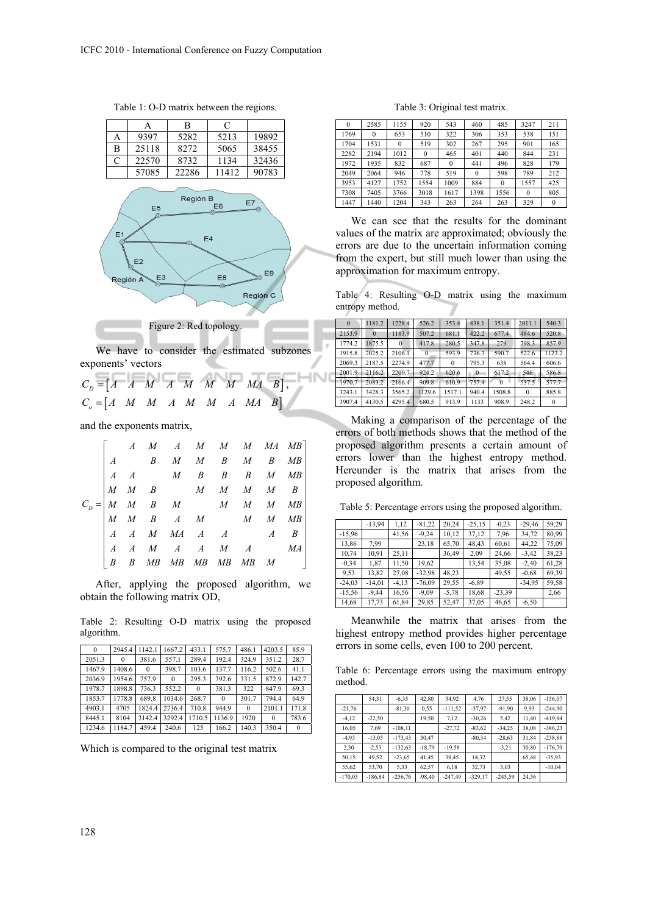Table 1: O-D matrix between the regions.



We have to consider the estimated subzones exponents' vectors

$$
C_D = \begin{bmatrix} A & A & M & A & M & M & M & M & B \end{bmatrix},
$$
  
\n
$$
C_o = \begin{bmatrix} A & M & M & A & M & M & A & M & B \end{bmatrix}
$$

and the exponents matrix,

|  |  |  |  | $C_D = \begin{bmatrix} A & M & A & M & M & M & MA & MB \\ A & B & M & M & B & M & B & MB \\ A & A & M & B & B & B & M & MB \\ M & M & B & M & M & M & M & B \\ M & M & B & A & M & M & M & MB \\ M & M & B & A & M & M & M & MB \\ A & A & M & MA & A & A & A & B \\ A & A & M & A & A & M & A & MA \\ B & B & MB & MB & MB & MB & MB & MA \end{bmatrix}$ |
|--|--|--|--|-----------------------------------------------------------------------------------------------------------------------------------------------------------------------------------------------------------------------------------------------------------------------------------------------------------------------------------------------------------|

After, applying the proposed algorithm, we obtain the following matrix OD,

Table 2: Resulting O-D matrix using the proposed algorithm.

| $\mathbf{0}$ | 2945.4   | 1142.1       | 1667.2   | 433.1        | 575.7    | 486.1    | 4203.5   | 85.9     |
|--------------|----------|--------------|----------|--------------|----------|----------|----------|----------|
| 2051.3       | $\Omega$ | 381.6        | 557.1    | 289.4        | 192.4    | 324.9    | 351.2    | 28.7     |
| 1467.9       | 1408.6   | $\mathbf{0}$ | 398.7    | 103.6        | 137.7    | 116.2    | 502.6    | 41.1     |
| 2036.9       | 1954.6   | 7579         | $\theta$ | 295.3        | 392.6    | 331.5    | 872.9    | 142.7    |
| 1978.7       | 1898.8   | 736.3        | 552.2    | $\mathbf{0}$ | 381.3    | 322      | 847.9    | 69.3     |
| 1853.7       | 1778.8   | 689.8        | 1034.6   | 268.7        | $\theta$ | 301.7    | 794.4    | 64.9     |
| 4903.1       | 4705     | 1824.4       | 2736.4   | 710.8        | 9449     | $\theta$ | 2101.1   | 171.8    |
| 8445.1       | 8104     | 3142.4       | 3292.4   | 1710.5       | 1136.9   | 1920     | $\Omega$ | 783.6    |
| 1234.6       | 1184.7   | 4594         | 240.6    | 125          | 166.2    | 140.3    | 350.4    | $\Omega$ |

Which is compared to the original test matrix

#### Table 3: Original test matrix.

| $\theta$ | 2585     | 1155     | 920      | 543      | 460      | 485      | 3247     | 211      |
|----------|----------|----------|----------|----------|----------|----------|----------|----------|
| 1769     | $\theta$ | 653      | 510      | 322      | 306      | 353      | 538      | 151      |
| 1704     | 1531     | $\theta$ | 519      | 302      | 267      | 295      | 901      | 165      |
| 2282     | 2194     | 1012     | $\theta$ | 465      | 401      | 440      | 844      | 231      |
| 1972     | 1935     | 832      | 687      | $\theta$ | 441      | 496      | 828      | 179      |
| 2049     | 2064     | 946      | 778      | 519      | $\theta$ | 598      | 789      | 212      |
| 3953     | 4127     | 1752     | 1554     | 1009     | 884      | $\theta$ | 1557     | 425      |
| 7308     | 7405     | 3766     | 3018     | 1617     | 1398     | 1556     | $\theta$ | 805      |
| 1447     | 1440     | 1204     | 343      | 263      | 264      | 263      | 329      | $\theta$ |

We can see that the results for the dominant values of the matrix are approximated; obviously the errors are due to the uncertain information coming from the expert, but still much lower than using the approximation for maximum entropy.

Table 4: Resulting O-D matrix using the maximum entropy method.

| $\Omega$ | 1181.2   | 1228.4   | 526.2    | 353.4    | 438.1          | 351.4    | 2011.1   | 540.3    |
|----------|----------|----------|----------|----------|----------------|----------|----------|----------|
| 2153.9   | $\Omega$ | 1183.9   | 507.2    | 681.1    | 422.2          | 677.4    | 484.6    | 520.8    |
| 1774.2   | 1875.5   | $\Omega$ | 417.8    | 280.5    | 347.8          | 279      | 798.3    | 857.9    |
| 1915.8   | 2025.2   | 2106.1   | $\theta$ | 593.9    | 736.3          | 590.7    | 522.6    | 1123.2   |
| 2069.3   | 2187.5   | 2274.9   | 477.7    | $\theta$ | 795.3          | 638      | 564.4    | 606.6    |
| 2001.9   | 2116.2   | 2200.7   | 924.2    | 620.6    | $\overline{0}$ | 617.2    | 546      | 586.8    |
| 1970.7   | 2083.2   | 2166.4   | 909.8    | 610.9    | 757.4          | $\theta$ | 537.5    | 577.7    |
| 3243.1   | 3428.3   | 3565.2   | 1129.6   | 1517.1   | 940.4          | 1508.8   | $\theta$ | 885.8    |
| 3907.4   | 4130.5   | 4295.4   | 680.5    | 913.9    | 1133           | 908.9    | 248.2    | $\bf{0}$ |

Making a comparison of the percentage of the errors of both methods shows that the method of the proposed algorithm presents a certain amount of errors lower than the highest entropy method. Hereunder is the matrix that arises from the proposed algorithm.

Table 5: Percentage errors using the proposed algorithm.

|          | $-13,94$ | 1.12     | $-81,22$ | 20,24   | $-25,15$ | $-0.23$  | $-29,46$ | 59.29 |
|----------|----------|----------|----------|---------|----------|----------|----------|-------|
| $-15,96$ |          | 41,56    | $-9,24$  | 10,12   | 37,12    | 7,96     | 34,72    | 80,99 |
| 13,86    | 7,99     |          | 23,18    | 65,70   | 48,43    | 60,61    | 44,22    | 75,09 |
| 10,74    | 10,91    | 25,11    |          | 36,49   | 2,09     | 24,66    | $-3,42$  | 38,23 |
| $-0.34$  | 1,87     | 11,50    | 19,62    |         | 13,54    | 35,08    | $-2,40$  | 61,28 |
| 9.53     | 13,82    | 27,08    | $-32,98$ | 48,23   |          | 49,55    | $-0.68$  | 69,39 |
| $-24,03$ | $-14,01$ | $-4, 13$ | $-76,09$ | 29,55   | $-6,89$  |          | $-34,95$ | 59,58 |
| $-15,56$ | $-9,44$  | 16,56    | $-9.09$  | $-5,78$ | 18,68    | $-23.39$ |          | 2,66  |
| 14,68    | 17,73    | 61,84    | 29,85    | 52,47   | 37,05    | 46,65    | $-6,50$  |       |

Meanwhile the matrix that arises from the highest entropy method provides higher percentage errors in some cells, even 100 to 200 percent.

Table 6: Percentage errors using the maximum entropy method.

|           | 54,31     | $-6,35$    | 42,80    | 34,92     | 4,76      | 27,55     | 38,06 | $-156,07$ |
|-----------|-----------|------------|----------|-----------|-----------|-----------|-------|-----------|
| $-21,76$  |           | $-81,30$   | 0,55     | $-111,52$ | $-37,97$  | $-91,90$  | 9.93  | $-244.90$ |
| $-4,12$   | $-22,50$  |            | 19,50    | 7,12      | $-30.26$  | 5,42      | 11,40 | -419,94   |
| 16,05     | 7,69      | $-108, 11$ |          | $-27,72$  | $-83,62$  | $-34,25$  | 38,08 | $-386,23$ |
| $-4.93$   | $-13,05$  | $-173,43$  | 30.47    |           | $-80.34$  | $-28,63$  | 31.84 | $-238,88$ |
| 2,30      | $-2,53$   | $-132,63$  | $-18,79$ | $-19.58$  |           | $-3.21$   | 30,80 | $-176,79$ |
| 50.15     | 49,52     | $-23,65$   | 41,45    | 39,45     | 14.32     |           | 65,48 | $-35,93$  |
| 55,62     | 53,70     | 5,33       | 62,57    | 6,18      | 32,73     | 3,03      |       | $-10,04$  |
| $-170.03$ | $-186.84$ | $-256.76$  | $-98.40$ | $-247.49$ | $-329.17$ | $-245.59$ | 24.56 |           |